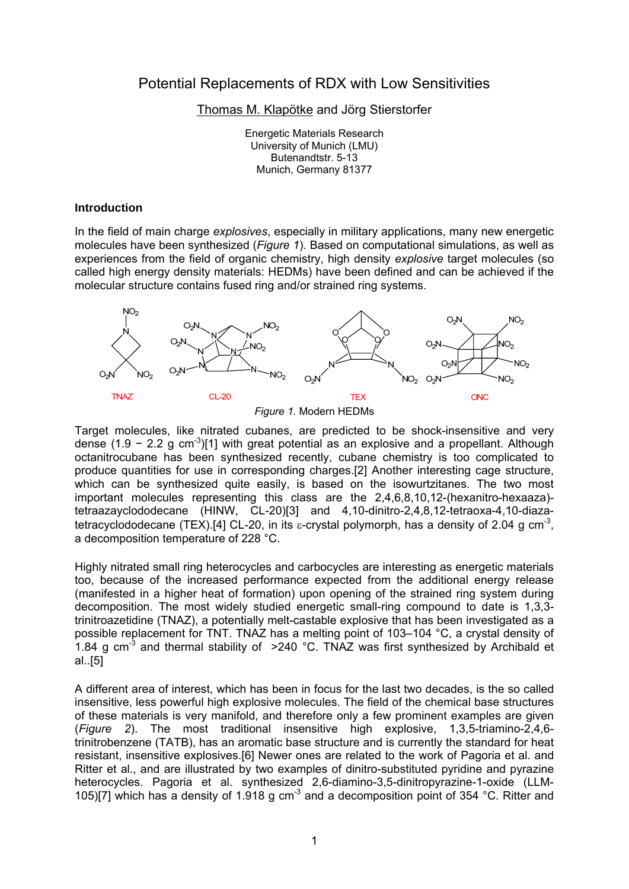# Potential Replacements of RDX with Low Sensitivities

Thomas M. Klapötke and Jörg Stierstorfer

Energetic Materials Research University of Munich (LMU) Butenandtstr. 5-13 Munich, Germany 81377

#### **Introduction**

In the field of main charge *explosives*, especially in military applications, many new energetic molecules have been synthesized (*Figure 1*). Based on computational simulations, as well as experiences from the field of organic chemistry, high density *explosive* target molecules (so called high energy density materials: HEDMs) have been defined and can be achieved if the molecular structure contains fused ring and/or strained ring systems.



*Figure 1.* Modern HEDMs

Target molecules, like nitrated cubanes, are predicted to be shock-insensitive and very dense (1.9 - 2.2 g cm<sup>-3</sup>)[1] with great potential as an explosive and a propellant. Although octanitrocubane has been synthesized recently, cubane chemistry is too complicated to produce quantities for use in corresponding charges.[2] Another interesting cage structure, which can be synthesized quite easily, is based on the isowurtzitanes. The two most important molecules representing this class are the 2,4,6,8,10,12-(hexanitro-hexaaza) tetraazayclododecane (HINW, CL-20)[3] and 4,10-dinitro-2,4,8,12-tetraoxa-4,10-diazatetracyclododecane (TEX).[4] CL-20, in its  $\varepsilon$ -crystal polymorph, has a density of 2.04 g cm<sup>-3</sup>, a decomposition temperature of 228 °C.

Highly nitrated small ring heterocycles and carbocycles are interesting as energetic materials too, because of the increased performance expected from the additional energy release (manifested in a higher heat of formation) upon opening of the strained ring system during decomposition. The most widely studied energetic small-ring compound to date is 1,3,3 trinitroazetidine (TNAZ), a potentially melt-castable explosive that has been investigated as a possible replacement for TNT. TNAZ has a melting point of 103–104 °C, a crystal density of 1.84 g cm<sup>-3</sup> and thermal stability of  $>240$  °C. TNAZ was first synthesized by Archibald et al..[5]

A different area of interest, which has been in focus for the last two decades, is the so called insensitive, less powerful high explosive molecules. The field of the chemical base structures of these materials is very manifold, and therefore only a few prominent examples are given (*Figure 2*). The most traditional insensitive high explosive, 1,3,5-triamino-2,4,6 trinitrobenzene (TATB), has an aromatic base structure and is currently the standard for heat resistant, insensitive explosives.[6] Newer ones are related to the work of Pagoria et al. and Ritter et al., and are illustrated by two examples of dinitro-substituted pyridine and pyrazine heterocycles. Pagoria et al. synthesized 2,6-diamino-3,5-dinitropyrazine-1-oxide (LLM-105)[7] which has a density of 1.918 g cm<sup>-3</sup> and a decomposition point of 354 °C. Ritter and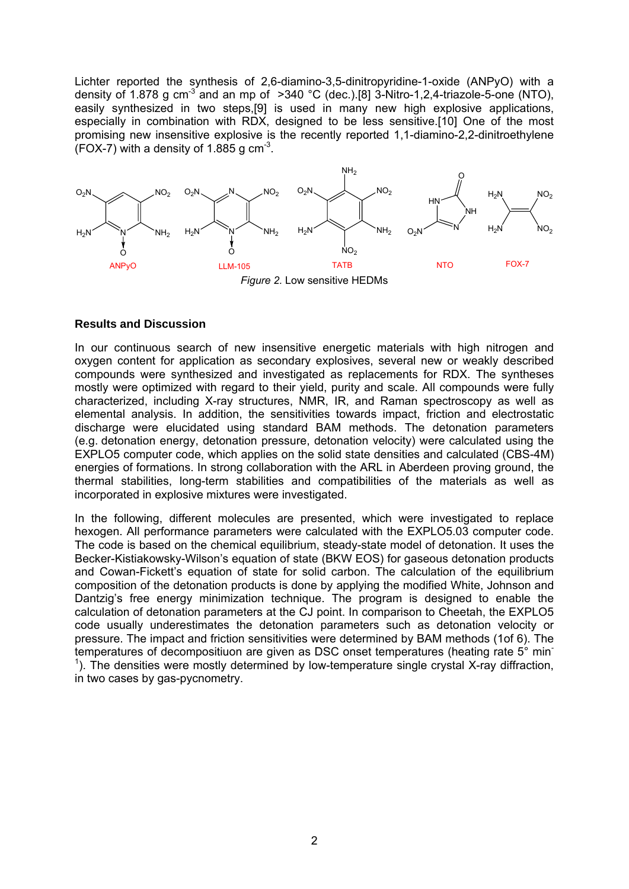Lichter reported the synthesis of 2,6-diamino-3,5-dinitropyridine-1-oxide (ANPyO) with a density of 1.878 g cm<sup>-3</sup> and an mp of  $>340$  °C (dec.).[8] 3-Nitro-1,2,4-triazole-5-one (NTO), easily synthesized in two steps,[9] is used in many new high explosive applications, especially in combination with RDX, designed to be less sensitive.[10] One of the most promising new insensitive explosive is the recently reported 1,1-diamino-2,2-dinitroethylene  $(FOX-7)$  with a density of 1.885 g cm<sup>-3</sup>.



### **Results and Discussion**

In our continuous search of new insensitive energetic materials with high nitrogen and oxygen content for application as secondary explosives, several new or weakly described compounds were synthesized and investigated as replacements for RDX. The syntheses mostly were optimized with regard to their yield, purity and scale. All compounds were fully characterized, including X-ray structures, NMR, IR, and Raman spectroscopy as well as elemental analysis. In addition, the sensitivities towards impact, friction and electrostatic discharge were elucidated using standard BAM methods. The detonation parameters (e.g. detonation energy, detonation pressure, detonation velocity) were calculated using the EXPLO5 computer code, which applies on the solid state densities and calculated (CBS-4M) energies of formations. In strong collaboration with the ARL in Aberdeen proving ground, the thermal stabilities, long-term stabilities and compatibilities of the materials as well as incorporated in explosive mixtures were investigated.

In the following, different molecules are presented, which were investigated to replace hexogen. All performance parameters were calculated with the EXPLO5.03 computer code. The code is based on the chemical equilibrium, steady-state model of detonation. It uses the Becker-Kistiakowsky-Wilson's equation of state (BKW EOS) for gaseous detonation products and Cowan-Fickett's equation of state for solid carbon. The calculation of the equilibrium composition of the detonation products is done by applying the modified White, Johnson and Dantzig's free energy minimization technique. The program is designed to enable the calculation of detonation parameters at the CJ point. In comparison to Cheetah, the EXPLO5 code usually underestimates the detonation parameters such as detonation velocity or pressure. The impact and friction sensitivities were determined by BAM methods (1of 6). The temperatures of decompositiuon are given as DSC onset temperatures (heating rate 5° min- $<sup>1</sup>$ ). The densities were mostly determined by low-temperature single crystal X-ray diffraction,</sup> in two cases by gas-pycnometry.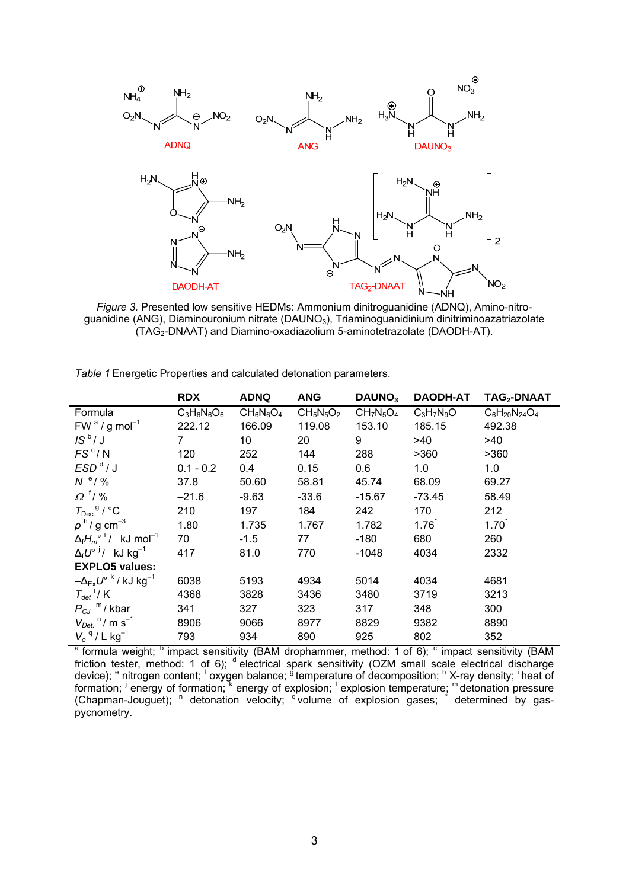

*Figure 3.* Presented low sensitive HEDMs: Ammonium dinitroguanidine (ADNQ), Amino-nitroguanidine (ANG), Diaminouronium nitrate (DAUNO<sub>3</sub>), Triaminoguanidinium dinitriminoazatriazolate  $\Gamma$ (TAG $\sim$ -DNAAT) and Diamino-oxadiazolium 5-aminotetrazolate (DAODH-AT).

|                                                                                                                                     | <b>RDX</b>     | <b>ADNQ</b>     | <b>ANG</b>   | DAUNO <sub>3</sub> | <b>DAODH-AT</b> | TAG <sub>2</sub> -DNAAT |
|-------------------------------------------------------------------------------------------------------------------------------------|----------------|-----------------|--------------|--------------------|-----------------|-------------------------|
| Formula                                                                                                                             | $C_3H_6N_6O_6$ | $CH_6N_6O_4$    | $CH_5N_5O_2$ | $CH7N5O4$          | $C_3H_7N_9O$    | $C_6H_{20}N_{24}O_4$    |
| $FWa / g mol-1$                                                                                                                     | 222.12         | 166.09          | 119.08       | 153.10             | 185.15          | 492.38                  |
| $IS^b/J$                                                                                                                            | 7              | 10 <sup>°</sup> | 20           | 9                  | >40             | >40                     |
| FS <sup>c</sup> /N                                                                                                                  | 120            | 252             | 144          | 288                | >360            | >360                    |
| ESD <sup>d</sup> /J                                                                                                                 | $0.1 - 0.2$    | 0.4             | 0.15         | 0.6                | 1.0             | 1.0                     |
| $N^e/$ %                                                                                                                            | 37.8           | 50.60           | 58.81        | 45.74              | 68.09           | 69.27                   |
| $\Omega^{\dagger}$ /%                                                                                                               | $-21.6$        | $-9.63$         | $-33.6$      | $-15.67$           | $-73.45$        | 58.49                   |
| $T_{\rm Dec.}$ <sup>g</sup> / °C                                                                                                    | 210            | 197             | 184          | 242                | 170             | 212                     |
| $\rho$ <sup>h</sup> /g cm <sup>-3</sup>                                                                                             | 1.80           | 1.735           | 1.767        | 1.782              | 1.76            | 1.70                    |
| $\Delta_f H_m^{\circ}$ <sup>i</sup> / kJ mol <sup>-1</sup>                                                                          | 70             | $-1.5$          | 77           | $-180$             | 680             | 260                     |
| $\Delta_f U^{\circ}$ <sup>j</sup> / kJ kg <sup>-1</sup>                                                                             | 417            | 81.0            | 770          | $-1048$            | 4034            | 2332                    |
| <b>EXPLO5 values:</b>                                                                                                               |                |                 |              |                    |                 |                         |
| $-\Delta_{Ex}U^{\circ k}$ / kJ kg <sup>-1</sup>                                                                                     | 6038           | 5193            | 4934         | 5014               | 4034            | 4681                    |
| $T_{det}$ <sup>1</sup> / K                                                                                                          | 4368           | 3828            | 3436         | 3480               | 3719            | 3213                    |
| $P_{CJ}$ <sup>m</sup> /kbar                                                                                                         | 341            | 327             | 323          | 317                | 348             | 300                     |
| $V_{Det.}$ <sup>n</sup> /m s <sup>-1</sup>                                                                                          | 8906           | 9066            | 8977         | 8829               | 9382            | 8890                    |
| $V_o$ <sup>q</sup> / L kg <sup>-1</sup>                                                                                             | 793            | 934             | 890          | 925                | 802             | 352                     |
| <sup>a</sup> formula weight; <sup>b</sup> impact sensitivity (BAM drophammer, method: 1 of 6); <sup>c</sup> impact sensitivity (BAM |                |                 |              |                    |                 |                         |

*Table 1* Energetic Properties and calculated detonation parameters.

friction tester, method: 1 of 6); <sup>d</sup> electrical spark sensitivity (OZM small scale electrical discharge device); <sup>e</sup> nitrogen content; <sup>f</sup> oxygen balance; <sup>g</sup> temperature of decomposition; <sup>h</sup> X-ray density; <sup>i</sup> heat of formation; <sup>j</sup> energy of formation; k energy of explosion; cxplosion temperature; m detonation pressure (Chapman-Jouguet); <sup>n</sup> detonation velocity; <sup>q'</sup>volume of explosion gases; determined by gaspycnometry.